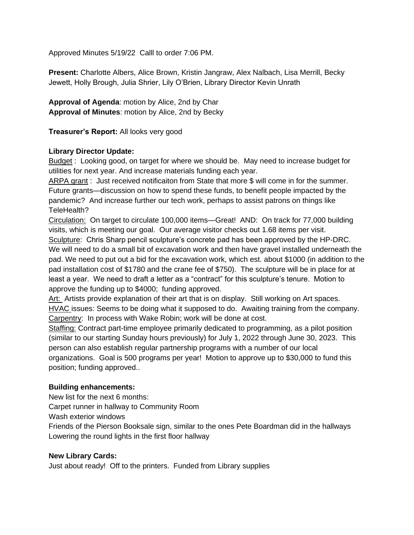Approved Minutes 5/19/22 Calll to order 7:06 PM.

**Present:** Charlotte Albers, Alice Brown, Kristin Jangraw, Alex Nalbach, Lisa Merrill, Becky Jewett, Holly Brough, Julia Shrier, Lily O'Brien, Library Director Kevin Unrath

**Approval of Agenda**: motion by Alice, 2nd by Char **Approval of Minutes**: motion by Alice, 2nd by Becky

**Treasurer's Report:** All looks very good

## **Library Director Update:**

Budget : Looking good, on target for where we should be. May need to increase budget for utilities for next year. And increase materials funding each year.

ARPA grant : Just received notificaiton from State that more \$ will come in for the summer. Future grants—discussion on how to spend these funds, to benefit people impacted by the pandemic? And increase further our tech work, perhaps to assist patrons on things like TeleHealth?

Circulation: On target to circulate 100,000 items—Great! AND: On track for 77,000 building visits, which is meeting our goal. Our average visitor checks out 1.68 items per visit. Sculpture: Chris Sharp pencil sculpture's concrete pad has been approved by the HP-DRC. We will need to do a small bit of excavation work and then have gravel installed underneath the pad. We need to put out a bid for the excavation work, which est. about \$1000 (in addition to the pad installation cost of \$1780 and the crane fee of \$750). The sculpture will be in place for at least a year. We need to draft a letter as a "contract" for this sculpture's tenure. Motion to approve the funding up to \$4000; funding approved.

Art: Artists provide explanation of their art that is on display. Still working on Art spaces. HVAC issues: Seems to be doing what it supposed to do. Awaiting training from the company. Carpentry: In process with Wake Robin; work will be done at cost.

Staffing: Contract part-time employee primarily dedicated to programming, as a pilot position (similar to our starting Sunday hours previously) for July 1, 2022 through June 30, 2023. This person can also establish regular partnership programs with a number of our local organizations. Goal is 500 programs per year! Motion to approve up to \$30,000 to fund this position; funding approved..

## **Building enhancements:**

New list for the next 6 months:

Carpet runner in hallway to Community Room

Wash exterior windows

Friends of the Pierson Booksale sign, similar to the ones Pete Boardman did in the hallways Lowering the round lights in the first floor hallway

## **New Library Cards:**

Just about ready! Off to the printers. Funded from Library supplies